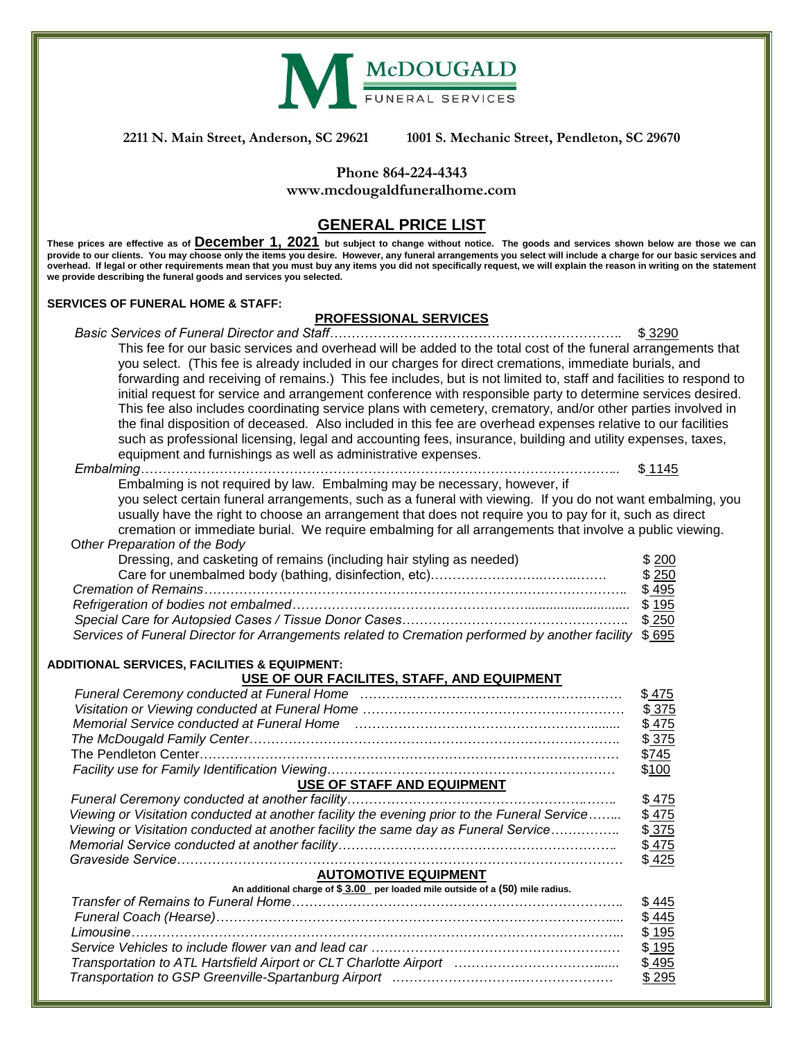

**2211 N. Main Street, Anderson, SC 29621 1001 S. Mechanic Street, Pendleton, SC 29670**

## **Phone 864-224-4343**

**[www.mcdougaldfuneralhome.com](http://www.mcdougaldfuneralhome.com/)**

## **GENERAL PRICE LIST**

**These prices are effective as of December 1, 2021 but subject to change without notice. The goods and services shown below are those we can provide to our clients. You may choose only the items you desire. However, any funeral arrangements you select will include a charge for our basic services and overhead. If legal or other requirements mean that you must buy any items you did not specifically request, we will explain the reason in writing on the statement we provide describing the funeral goods and services you selected.**

#### **SERVICES OF FUNERAL HOME & STAFF:**

## **PROFESSIONAL SERVICES**

*Basic Services of Funeral Director and Staff………………………………………………………….* \$ 3290 This fee for our basic services and overhead will be added to the total cost of the funeral arrangements that you select. (This fee is already included in our charges for direct cremations, immediate burials, and forwarding and receiving of remains.) This fee includes, but is not limited to, staff and facilities to respond to initial request for service and arrangement conference with responsible party to determine services desired. This fee also includes coordinating service plans with cemetery, crematory, and/or other parties involved in the final disposition of deceased. Also included in this fee are overhead expenses relative to our facilities such as professional licensing, legal and accounting fees, insurance, building and utility expenses, taxes, equipment and furnishings as well as administrative expenses.

*Embalming………………………………………………………………………………………………..* \$ 1145 Embalming is not required by law. Embalming may be necessary, however, if you select certain funeral arrangements, such as a funeral with viewing. If you do not want embalming, you usually have the right to choose an arrangement that does not require you to pay for it, such as direct cremation or immediate burial. We require embalming for all arrangements that involve a public viewing. O*ther Preparation of the Body* Dressing, and casketing of remains (including hair styling as needed) \$ 200 Care for unembalmed body (bathing, disinfection, etc)……………………………………………………………………… \$ 250 *Cremation of Remains…………………………………………………………………………………….* \$ 495 *Refrigeration of bodies not embalmed………………………………………………............................* \$ 195 *Special Care for Autopsied Cases / Tissue Donor Cases…………………………………………….* \$ 250 *Services of Funeral Director for Arrangements related to Cremation performed by another facility* \$ 695

#### **ADDITIONAL SERVICES, FACILITIES & EQUIPMENT:**

### **USE OF OUR FACILITES, STAFF, AND EQUIPMENT**

| Funeral Ceremony conducted at Funeral Home manumeral content content content content of the content of the con | \$475 |
|----------------------------------------------------------------------------------------------------------------|-------|
|                                                                                                                | \$375 |
| Memorial Service conducted at Funeral Home (and the continuum continuum continuum continuum continuum continuu | \$475 |
|                                                                                                                | \$375 |
|                                                                                                                | \$745 |
|                                                                                                                | \$100 |
| USE OF STAFF AND EQUIPMENT                                                                                     |       |
|                                                                                                                | \$475 |
| Viewing or Visitation conducted at another facility the evening prior to the Funeral Service                   | \$475 |
| Viewing or Visitation conducted at another facility the same day as Funeral Service                            | \$375 |
|                                                                                                                | \$475 |
|                                                                                                                | \$425 |
| <b>AUTOMOTIVE EQUIPMENT</b>                                                                                    |       |
| An additional charge of \$3.00 per loaded mile outside of a (50) mile radius.                                  |       |
|                                                                                                                | \$445 |
|                                                                                                                | \$445 |
|                                                                                                                | \$195 |
|                                                                                                                | \$195 |
|                                                                                                                | \$495 |
|                                                                                                                | \$295 |
|                                                                                                                |       |